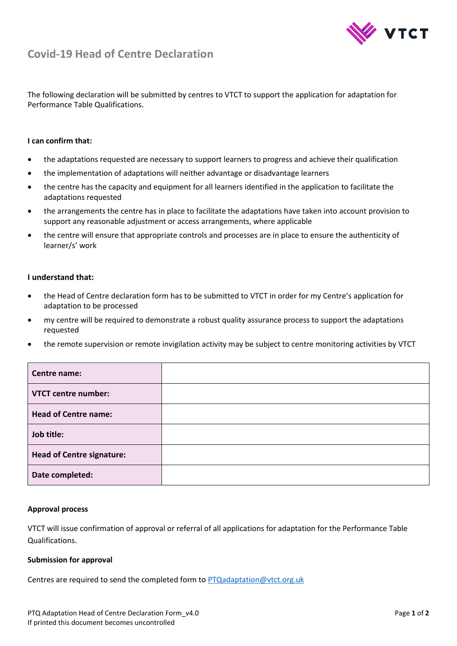

# **Covid-19 Head of Centre Declaration**

The following declaration will be submitted by centres to VTCT to support the application for adaptation for Performance Table Qualifications.

## **I can confirm that:**

- the adaptations requested are necessary to support learners to progress and achieve their qualification
- the implementation of adaptations will neither advantage or disadvantage learners
- the centre has the capacity and equipment for all learners identified in the application to facilitate the adaptations requested
- the arrangements the centre has in place to facilitate the adaptations have taken into account provision to support any reasonable adjustment or access arrangements, where applicable
- the centre will ensure that appropriate controls and processes are in place to ensure the authenticity of learner/s' work

## **I understand that:**

- the Head of Centre declaration form has to be submitted to VTCT in order for my Centre's application for adaptation to be processed
- my centre will be required to demonstrate a robust quality assurance process to support the adaptations requested
- the remote supervision or remote invigilation activity may be subject to centre monitoring activities by VTCT

| Centre name:                     |  |
|----------------------------------|--|
| <b>VTCT centre number:</b>       |  |
| <b>Head of Centre name:</b>      |  |
| Job title:                       |  |
| <b>Head of Centre signature:</b> |  |
| Date completed:                  |  |

## **Approval process**

VTCT will issue confirmation of approval or referral of all applications for adaptation for the Performance Table Qualifications.

#### **Submission for approval**

Centres are required to send the completed form to [PTQadaptation@vtct.org.uk](mailto:PTQadaptation@vtct.org.uk)